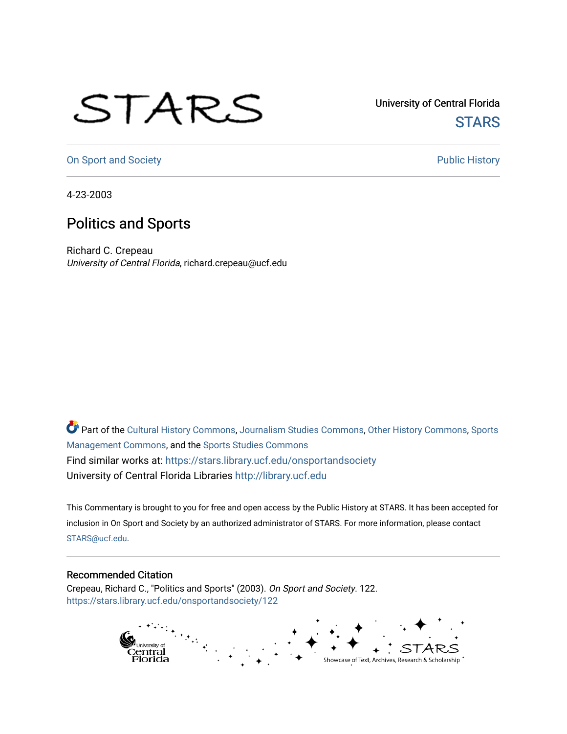## STARS

University of Central Florida **STARS** 

[On Sport and Society](https://stars.library.ucf.edu/onsportandsociety) **Public History** Public History

4-23-2003

## Politics and Sports

Richard C. Crepeau University of Central Florida, richard.crepeau@ucf.edu

Part of the [Cultural History Commons](http://network.bepress.com/hgg/discipline/496?utm_source=stars.library.ucf.edu%2Fonsportandsociety%2F122&utm_medium=PDF&utm_campaign=PDFCoverPages), [Journalism Studies Commons,](http://network.bepress.com/hgg/discipline/333?utm_source=stars.library.ucf.edu%2Fonsportandsociety%2F122&utm_medium=PDF&utm_campaign=PDFCoverPages) [Other History Commons,](http://network.bepress.com/hgg/discipline/508?utm_source=stars.library.ucf.edu%2Fonsportandsociety%2F122&utm_medium=PDF&utm_campaign=PDFCoverPages) [Sports](http://network.bepress.com/hgg/discipline/1193?utm_source=stars.library.ucf.edu%2Fonsportandsociety%2F122&utm_medium=PDF&utm_campaign=PDFCoverPages) [Management Commons](http://network.bepress.com/hgg/discipline/1193?utm_source=stars.library.ucf.edu%2Fonsportandsociety%2F122&utm_medium=PDF&utm_campaign=PDFCoverPages), and the [Sports Studies Commons](http://network.bepress.com/hgg/discipline/1198?utm_source=stars.library.ucf.edu%2Fonsportandsociety%2F122&utm_medium=PDF&utm_campaign=PDFCoverPages) Find similar works at: <https://stars.library.ucf.edu/onsportandsociety> University of Central Florida Libraries [http://library.ucf.edu](http://library.ucf.edu/) 

This Commentary is brought to you for free and open access by the Public History at STARS. It has been accepted for inclusion in On Sport and Society by an authorized administrator of STARS. For more information, please contact [STARS@ucf.edu](mailto:STARS@ucf.edu).

## Recommended Citation

Crepeau, Richard C., "Politics and Sports" (2003). On Sport and Society. 122. [https://stars.library.ucf.edu/onsportandsociety/122](https://stars.library.ucf.edu/onsportandsociety/122?utm_source=stars.library.ucf.edu%2Fonsportandsociety%2F122&utm_medium=PDF&utm_campaign=PDFCoverPages)

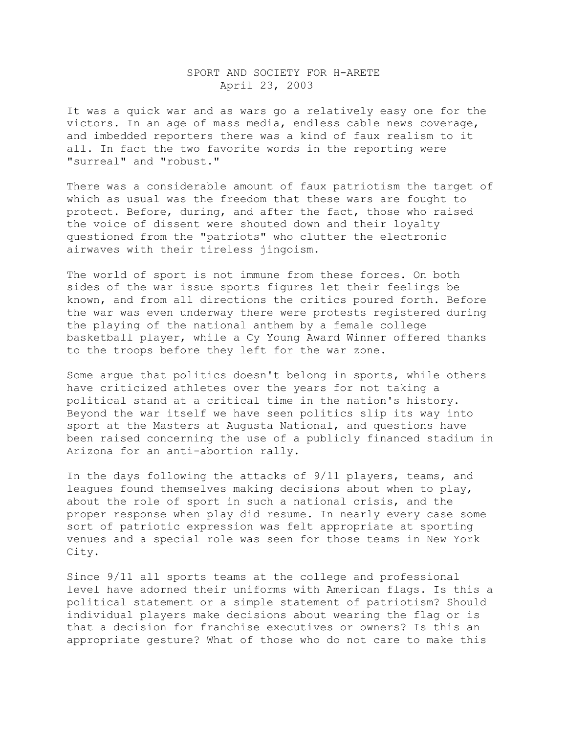## SPORT AND SOCIETY FOR H-ARETE April 23, 2003

It was a quick war and as wars go a relatively easy one for the victors. In an age of mass media, endless cable news coverage, and imbedded reporters there was a kind of faux realism to it all. In fact the two favorite words in the reporting were "surreal" and "robust."

There was a considerable amount of faux patriotism the target of which as usual was the freedom that these wars are fought to protect. Before, during, and after the fact, those who raised the voice of dissent were shouted down and their loyalty questioned from the "patriots" who clutter the electronic airwaves with their tireless jingoism.

The world of sport is not immune from these forces. On both sides of the war issue sports figures let their feelings be known, and from all directions the critics poured forth. Before the war was even underway there were protests registered during the playing of the national anthem by a female college basketball player, while a Cy Young Award Winner offered thanks to the troops before they left for the war zone.

Some argue that politics doesn't belong in sports, while others have criticized athletes over the years for not taking a political stand at a critical time in the nation's history. Beyond the war itself we have seen politics slip its way into sport at the Masters at Augusta National, and questions have been raised concerning the use of a publicly financed stadium in Arizona for an anti-abortion rally.

In the days following the attacks of 9/11 players, teams, and leagues found themselves making decisions about when to play, about the role of sport in such a national crisis, and the proper response when play did resume. In nearly every case some sort of patriotic expression was felt appropriate at sporting venues and a special role was seen for those teams in New York City.

Since 9/11 all sports teams at the college and professional level have adorned their uniforms with American flags. Is this a political statement or a simple statement of patriotism? Should individual players make decisions about wearing the flag or is that a decision for franchise executives or owners? Is this an appropriate gesture? What of those who do not care to make this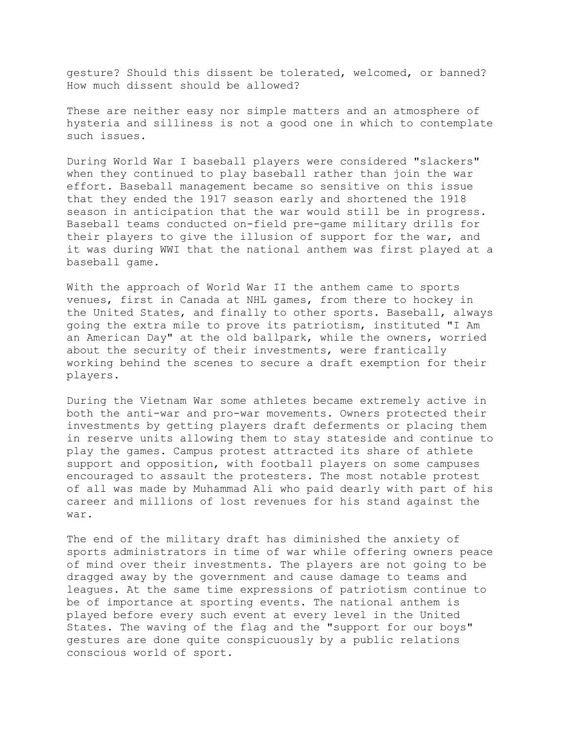gesture? Should this dissent be tolerated, welcomed, or banned? How much dissent should be allowed?

These are neither easy nor simple matters and an atmosphere of hysteria and silliness is not a good one in which to contemplate such issues.

During World War I baseball players were considered "slackers" when they continued to play baseball rather than join the war effort. Baseball management became so sensitive on this issue that they ended the 1917 season early and shortened the 1918 season in anticipation that the war would still be in progress. Baseball teams conducted on-field pre-game military drills for their players to give the illusion of support for the war, and it was during WWI that the national anthem was first played at a baseball game.

With the approach of World War II the anthem came to sports venues, first in Canada at NHL games, from there to hockey in the United States, and finally to other sports. Baseball, always going the extra mile to prove its patriotism, instituted "I Am an American Day" at the old ballpark, while the owners, worried about the security of their investments, were frantically working behind the scenes to secure a draft exemption for their players.

During the Vietnam War some athletes became extremely active in both the anti-war and pro-war movements. Owners protected their investments by getting players draft deferments or placing them in reserve units allowing them to stay stateside and continue to play the games. Campus protest attracted its share of athlete support and opposition, with football players on some campuses encouraged to assault the protesters. The most notable protest of all was made by Muhammad Ali who paid dearly with part of his career and millions of lost revenues for his stand against the war.

The end of the military draft has diminished the anxiety of sports administrators in time of war while offering owners peace of mind over their investments. The players are not going to be dragged away by the government and cause damage to teams and leagues. At the same time expressions of patriotism continue to be of importance at sporting events. The national anthem is played before every such event at every level in the United States. The waving of the flag and the "support for our boys" gestures are done quite conspicuously by a public relations conscious world of sport.